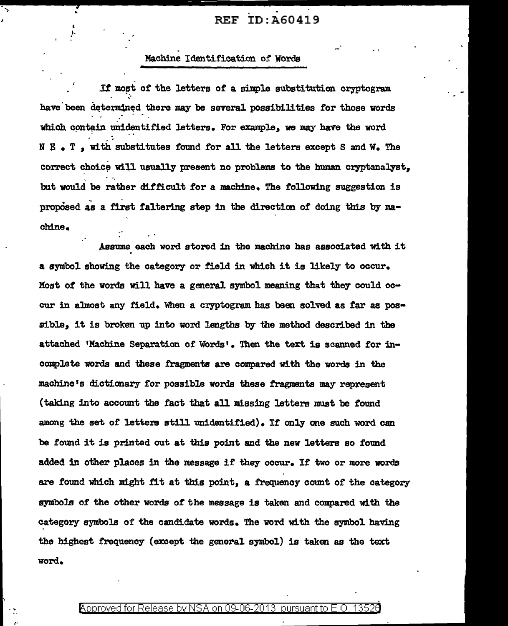## . Machine Identification of Words

I 1.

If most of the letters of a simple substitution cryptogram. have been determined there may be several possibilities for those words which contain unidentified letters. For example, we may have the word N E. T, with substitutes found for all the letters except S and W. The correct choice will usually present no problems to the human cryptanalyst, - ·. but would be rather difficult for a machine. The following suggestion is proposed as a first faltering step in the direction of doing this by machine.

Assume each word stored in the machine has associated with it a symbol showing the category or field in which it is likely to occur. Most of the words will have a general symbol meaning that they could occur in almost any field. When a cryptogram has been solved as tar as possible, it is broken up into word lengths by the method described in the attached 'Machine Separation or Words' • Then the text is scanned for incomplete words and these fragments are compared with the words in the machine's dictionary for possible words these fragments may represent (taking into account the fact that all missing letters must be found among the set of letters still unidentified). If only one such word can be found it is printed out at this point and the new letters so found added in other places in the message if they occur. If two or more words are found which might fit at this point, a frequency count of the category symbols of the other words of the message is taken and compared with the category symbols of the candidate words. The word with the symbol having the highest frequency (except the general symbol) is taken as the text word.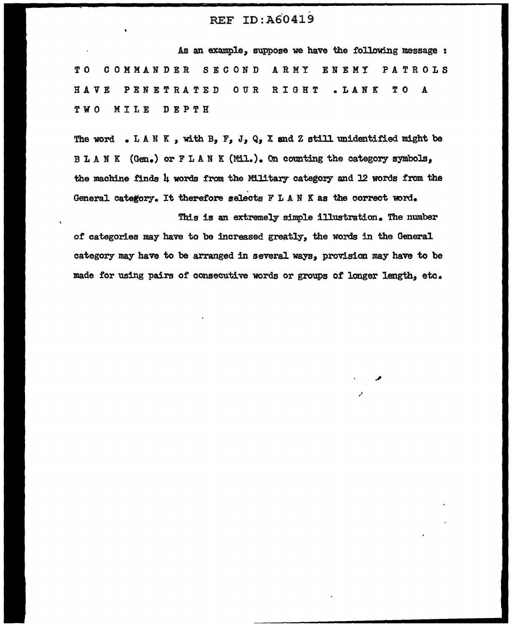As an example, suppose we have the following message : TO COMMANDER SECOND ARMY ENEMY PATROLS HAVE PENETRATED OUR RIGHT .LANK TO A TWO MILE DEPTH

The word  $\bullet$  LANK, with B<sub>2</sub> F<sub>2</sub> J<sub>2</sub> Q<sub>2</sub> X and Z still unidentified might be BLANK (Gen.) or FLANK (Mil.). On counting the category symbols, the machine finds  $l_i$  words from the Military category and  $l_i$  words from the General category. It therefore selects F LAN K as the correct word.

of categories may have to be increased greatly, the words in the General category may have to be arranged in several ways, provision may have to be made for using pairs of consecutive words or groups of longer length, etc.

This is an extremely simple illustration. The number

~·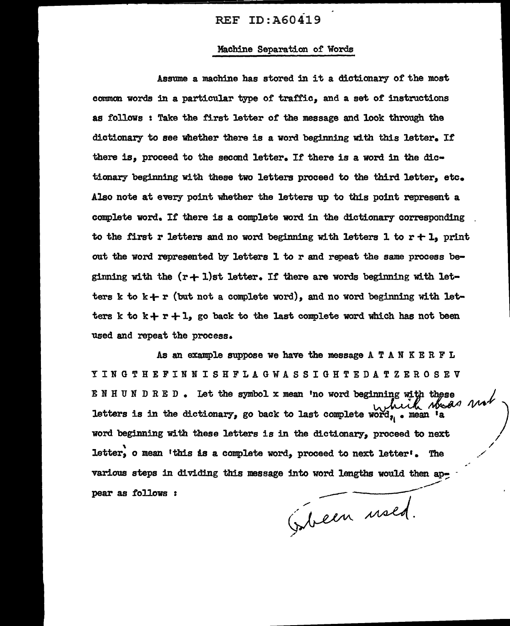### Machine Separation or Words

Assume a machine has stored in it a dictionary of' the most common words in a particular type of traffic, and a set of instructions as follows : Take the first letter of' the message and look through the dictionary to see whether there is a word beginning with this 1etter. If there is, proceed to the second letter. If there is a word in the dictionary beginning with these two letters proceed to the third letter, etc. Also note at ewry point whether the letters up to this point represent a complete word. If there is a complete word in the dictionary corresponding to the first r letters and no word beginning with letters 1 to  $r + 1$ , print out the word represented by letters l to r and repeat the same process beginning with the  $(r+1)$ st letter. If there are words beginning with letters k to  $k + r$  (but not a complete word), and no word beginning with letters k to  $k + r + 1$ , go back to the last complete word which has not been used and repeat the process.

As an example suppose we have the message  $A T A N K E R F L$ YIN'GTHEFINN'ISHFLAGWASSIGHTEDATZEROSEV YIN G THE FIN NISHFLA G WASSIGHTED AT ZEROSEV<br>ENHUN DRED. Let the symbol x mean 'no word beginning with these letters is in the dictionary, go back to last complete word,  $\bullet$  mean 'a word beginning with these letters is in the dictionary, proceed to next letter, o mean 'this is a complete word, proceed to next letter'. The various steps in dividing this message into word lengths would then appear as follows :

 $\sqrt{2}$ ;'

*\_/*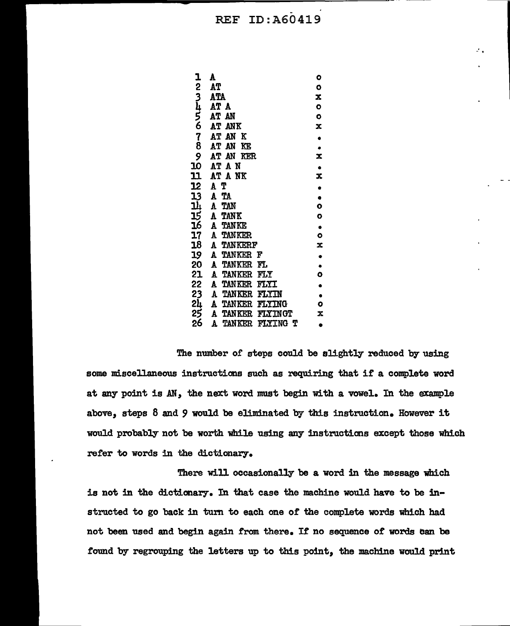- .

| 1                       | A                           | o         |
|-------------------------|-----------------------------|-----------|
| $\overline{\mathbf{c}}$ | AT                          | Ō         |
|                         | <b>ATA</b>                  | x         |
|                         | AT A                        | o         |
|                         | AT AN                       | $\bullet$ |
|                         | AT ANK                      | x         |
| 34567                   | AT AN<br>K                  | $\bullet$ |
| Š                       | AT AN<br>KE                 | $\bullet$ |
| 9                       | AT AN KER                   | X         |
| 10                      | AT A N                      | $\bullet$ |
| 11                      | AT A NK                     | X         |
| 12                      | A T                         | $\bullet$ |
|                         | A TA                        | $\bullet$ |
| 13<br>14                | TAN<br>A                    | Ō         |
|                         | $\mathbf{A}$<br><b>TANK</b> | O         |
|                         | A TANKE                     | $\bullet$ |
|                         | A TANKER                    | o         |
| 15<br>16<br>17<br>18    | A TANKERF                   | X         |
| 19                      | A TANKER F                  | $\bullet$ |
| 20                      | A<br>TANKER FL              | ٠         |
| 21                      | A TANKER FLY                | ٥         |
| 22                      | A TANKER FLYI               | $\bullet$ |
| 23                      | A TANKER FLYIN              | $\bullet$ |
| 2Ŀ                      | A TANKER FLYING             | $\bullet$ |
| 25                      | TANKER FLYINGT<br>A         | X         |
| 26                      | TANKER FLYING T<br>A        |           |
|                         |                             |           |

The number of steps could be slightly reduced by using some miscellaneous instructions such as requiring that if a complete word at any point is AN, the next word must begin with a vowel. In the example above, steps 8 and 9 would be eliminated by this instruction. However it would probably not be worth while using any instructions except those which refer to words in the dictionary.

There will occasionally be a word in the message which is not in the dictionary. In that case the machine would have to be instructed to go back in tum to each one of the complete words which had not been used and begin again from there. If no sequence of words can be found by regrouping the letters up to this point, the machine would print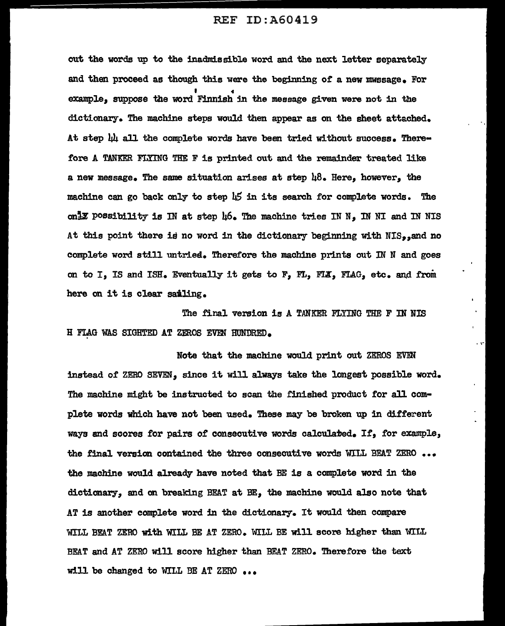out the words up to the inadmissible word and the next letter separately and then proceed as though this were the beginning *ot* a new mwssage • For example, suppose the word Finnish in the message given were not in the dictionary. The machine steps would then appear as on the sheet attached. At step  $\mu\mu$  all the complete words have been tried without success. Theretore A TANKER FLYING THE F is printed out and the remainder treated like a new message. The same situation arises at step  $\mu\delta$ . Here, however, the machine can go back only to step  $\frac{1}{5}$  in its search for complete words. The on<sup>1</sup> possibility is IN at step  $\mu$ 6. The machine tries INN. IN NI and IN NIS At this point there is no word in the dictionary beginning with  $NIS_{2,2}$  and no complete word still untried. Therefore the machine prints out IN N and goes on to I, IS and ISH. Eventually it gets to F, FL, FLA, FLAG, etc. and from here on it is clear sailing.

The final version is A TANKER FLYING THE F IN NIS H FIAG WAS SIGHTED AT ZEROS EVEN HUNDRED.

Note that the machine would print out ZEROS EVIN instead of ZERO SEVEN, since it will always take the longest possible word. The machine might be instructed to scan the finished product for all complete words which have not been used. These may be broken up in different ways and scores for pairs of consecutive words calculated. If, for example, the tina1 version contained the three consecutive words WILL BEAT ZERO ••• the machine would already have noted that BE is a complete word in the dictionary, and on breaking BEAT at BE, the machine would also note that AT is another complete word in the dictionary. It would then compare WILL BEAT ZERO with WILL BE AT ZERO. WILL BE will score higher than WILL BEAT and AT ZERO will score higher than BEAT ZERO. Therefore the text will be changed to WILL BE AT ZERO ...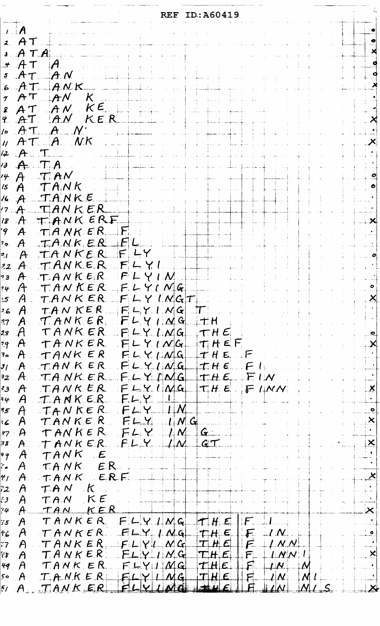|                 |                                     |                 |                                                                 |  |                    |     |             |  |                                                | <b>REF ID: A60419</b> |     |  |             |  |                  |                                           |                    |  |  |                          |
|-----------------|-------------------------------------|-----------------|-----------------------------------------------------------------|--|--------------------|-----|-------------|--|------------------------------------------------|-----------------------|-----|--|-------------|--|------------------|-------------------------------------------|--------------------|--|--|--------------------------|
|                 |                                     |                 |                                                                 |  |                    |     |             |  |                                                |                       |     |  |             |  |                  |                                           |                    |  |  |                          |
|                 | $\boldsymbol{I}$ . $\boldsymbol{A}$ |                 |                                                                 |  |                    |     |             |  |                                                |                       |     |  |             |  |                  |                                           |                    |  |  |                          |
|                 | 2A T                                |                 |                                                                 |  |                    |     |             |  |                                                |                       |     |  |             |  |                  |                                           |                    |  |  |                          |
|                 |                                     | A T A           |                                                                 |  |                    |     |             |  |                                                |                       |     |  |             |  |                  |                                           |                    |  |  |                          |
|                 |                                     | $A + A$ $A + A$ |                                                                 |  |                    |     |             |  |                                                |                       |     |  |             |  |                  |                                           |                    |  |  |                          |
|                 |                                     |                 | 5ATAA                                                           |  |                    |     |             |  |                                                |                       |     |  |             |  |                  |                                           |                    |  |  |                          |
|                 | $6$ $AT$                            |                 | ANK                                                             |  |                    |     |             |  |                                                |                       |     |  |             |  |                  |                                           |                    |  |  |                          |
|                 |                                     |                 | $7$ $AT$ $AN$ $K$                                               |  |                    |     |             |  |                                                |                       |     |  |             |  |                  |                                           |                    |  |  |                          |
|                 |                                     |                 | $R$ $AT$ $AN$ $KE$                                              |  |                    |     |             |  |                                                |                       |     |  |             |  |                  |                                           |                    |  |  |                          |
|                 |                                     |                 | 2 AT AN KER                                                     |  |                    |     |             |  |                                                |                       |     |  |             |  |                  |                                           |                    |  |  |                          |
|                 |                                     |                 | 10A T A M'                                                      |  |                    |     |             |  |                                                |                       |     |  |             |  |                  |                                           |                    |  |  |                          |
|                 |                                     |                 | $U$ $AT$ $A$ $NK$                                               |  |                    |     |             |  |                                                |                       |     |  |             |  |                  |                                           |                    |  |  |                          |
|                 |                                     |                 | $4A$ $T$                                                        |  |                    |     |             |  |                                                |                       |     |  |             |  |                  |                                           |                    |  |  |                          |
|                 |                                     |                 | $\beta$ $A$ $T_A$                                               |  |                    |     |             |  |                                                |                       |     |  |             |  |                  |                                           |                    |  |  |                          |
|                 | $44$ A                              |                 | TAN                                                             |  |                    |     |             |  |                                                |                       |     |  |             |  |                  |                                           |                    |  |  |                          |
|                 |                                     |                 | $6A$ TANK                                                       |  |                    |     |             |  |                                                |                       |     |  |             |  |                  |                                           |                    |  |  |                          |
|                 |                                     |                 | $A$ $TANKE$                                                     |  |                    |     |             |  |                                                |                       |     |  |             |  |                  |                                           |                    |  |  |                          |
|                 |                                     |                 | $17.4$ TANKER                                                   |  |                    |     |             |  |                                                |                       |     |  |             |  |                  |                                           |                    |  |  |                          |
|                 |                                     |                 | $18$ $A$ $T$ $A$ $N$ $K$ $ER$ $F$                               |  |                    |     |             |  |                                                |                       |     |  |             |  |                  |                                           |                    |  |  |                          |
| $^{\prime}$ 9 - |                                     |                 | $A$ $TA$ $NK$ $ER$ $F$                                          |  |                    |     |             |  |                                                |                       |     |  |             |  |                  |                                           |                    |  |  |                          |
| $\frac{1}{2}$   | $\mathcal{A}$                       |                 | TANKER                                                          |  | NEL.               |     |             |  |                                                |                       |     |  |             |  |                  |                                           |                    |  |  |                          |
|                 |                                     |                 | 4 A H A N K E R F L                                             |  |                    |     |             |  |                                                |                       |     |  |             |  |                  |                                           |                    |  |  |                          |
| 22              |                                     |                 | $A$ TANKER FLYI                                                 |  |                    |     |             |  |                                                |                       |     |  |             |  |                  |                                           |                    |  |  |                          |
|                 |                                     |                 | 23 $A$ TANKER                                                   |  | F L Y L M          |     |             |  |                                                |                       |     |  |             |  |                  |                                           |                    |  |  |                          |
|                 | ?4 什                                |                 | $TANKER$ $F L Y$ $NG$                                           |  |                    |     |             |  |                                                |                       |     |  |             |  |                  |                                           |                    |  |  | $\bullet$                |
|                 | $25$ $A$                            |                 | TANKER                                                          |  |                    |     | F L Y l N G |  |                                                |                       |     |  |             |  |                  |                                           |                    |  |  | $\bm{\mathsf{X}}$        |
|                 |                                     |                 | $26A$ TANKER $F$ $L$ $Y$ $N$ $G$ $T$                            |  |                    |     |             |  |                                                |                       |     |  |             |  |                  |                                           |                    |  |  |                          |
|                 |                                     |                 | 27 A $T$ ANKER $F$ $\cup$ $V$ $\cup$ $\Omega$ $\rightarrow$ $H$ |  |                    |     |             |  |                                                |                       |     |  |             |  |                  |                                           |                    |  |  |                          |
|                 |                                     |                 | 28 $A$ TANKER FLYING THE                                        |  |                    |     |             |  |                                                |                       |     |  |             |  |                  |                                           |                    |  |  |                          |
|                 |                                     |                 | TAMKER                                                          |  |                    |     |             |  |                                                |                       |     |  |             |  |                  |                                           |                    |  |  | $\bullet$                |
|                 | 29 $A$                              |                 |                                                                 |  | $F L Y / N G$ THEF |     |             |  |                                                |                       |     |  |             |  |                  |                                           |                    |  |  |                          |
|                 | 30 $A$                              |                 | $TANKER$ $FLYLMG$ $THE$ $F$                                     |  |                    |     |             |  |                                                |                       |     |  |             |  |                  |                                           |                    |  |  |                          |
|                 | $31$ A $-$                          |                 | $TANKER$ $FLMG$ $THE$ $Fli$                                     |  |                    |     |             |  |                                                |                       |     |  |             |  |                  |                                           |                    |  |  |                          |
|                 | $32$ $H$                            |                 | TANKER FLYING THE FIN                                           |  |                    |     |             |  |                                                |                       |     |  |             |  |                  |                                           |                    |  |  |                          |
|                 | $33$ A                              |                 | $TAMKER$ $FLYIMG$ $THE$ $F$ $1MM$                               |  |                    |     |             |  |                                                |                       |     |  |             |  |                  |                                           |                    |  |  | $\vert\mathsf{X}\vert$   |
|                 | $34$ $A$                            |                 | TANKER FLY                                                      |  |                    |     |             |  |                                                |                       |     |  |             |  |                  |                                           |                    |  |  |                          |
|                 | 35 A                                |                 | $TANKER$ $FLY$ $LM$                                             |  |                    |     |             |  |                                                |                       |     |  |             |  |                  |                                           |                    |  |  | _ ၀                      |
|                 |                                     |                 | $B$ A TANKER FLY $ M G $                                        |  |                    |     |             |  |                                                |                       |     |  |             |  |                  |                                           |                    |  |  | $\vert \mathsf{X} \vert$ |
|                 |                                     |                 | 37 A TANKER FLY $IM$ G                                          |  |                    |     |             |  |                                                |                       |     |  |             |  |                  |                                           |                    |  |  |                          |
|                 | 38 A.                               |                 | $TANKER$ $FLY$                                                  |  |                    |     |             |  | $\bm{\mathit{\Gamma}}$ $\bm{\mathit{\Lambda}}$ |                       | GT  |  |             |  |                  |                                           |                    |  |  | $ \mathsf{X} $           |
| 99              | A                                   |                 | TANK E                                                          |  |                    |     |             |  |                                                |                       |     |  |             |  |                  |                                           |                    |  |  |                          |
|                 | 7.4                                 |                 | $TANK$ $ER$ .                                                   |  |                    |     |             |  |                                                |                       |     |  |             |  |                  |                                           |                    |  |  |                          |
| $H_{\perp}$     | A                                   |                 | TANK ERE                                                        |  |                    |     |             |  |                                                |                       |     |  |             |  |                  |                                           |                    |  |  | $\vert\mathsf{x}\vert$   |
|                 | 72 A                                |                 | IAN K                                                           |  |                    |     |             |  |                                                |                       |     |  |             |  |                  |                                           |                    |  |  |                          |
| f3 -            | A                                   |                 | $TAN$ $KE$                                                      |  |                    |     |             |  |                                                |                       |     |  |             |  |                  |                                           |                    |  |  |                          |
|                 | $74$ A                              |                 | TAN KER                                                         |  |                    |     |             |  |                                                |                       |     |  |             |  |                  |                                           |                    |  |  | $\bm{\times}$            |
|                 | $75$ $A$                            |                 | $T$ ANKER FLYING THE FIL                                        |  |                    |     |             |  |                                                |                       |     |  |             |  |                  |                                           |                    |  |  |                          |
|                 | $46$ A                              |                 | $TANKER$ $FLY1NG$ $THE$ $F1N$                                   |  |                    |     |             |  |                                                |                       |     |  |             |  |                  |                                           |                    |  |  |                          |
| 77 <sup>2</sup> | A                                   |                 | $TAMKER$ $FLIYI MG$ $TH E$                                      |  |                    |     |             |  |                                                |                       |     |  | $E$ $1$ N N |  |                  |                                           |                    |  |  |                          |
|                 | $f$ $\mathcal{B}$                   |                 | $TANKER$ $FLYIMG$ $THEIF$                                       |  |                    |     |             |  |                                                |                       |     |  |             |  |                  | $\lfloor N N \rfloor$ $\lfloor N \rfloor$ |                    |  |  | <u>. XI</u>              |
| 49              | $\mathcal{A}$                       |                 | TANKER                                                          |  |                    |     | FLYIMGI     |  |                                                |                       | THE |  |             |  | $\boldsymbol{N}$ |                                           | N                  |  |  |                          |
| 5٥              | $\mathcal{A}_-$                     |                 | TANKER                                                          |  |                    |     | FLYIMG      |  |                                                | THE                   |     |  | 日           |  | $\bm{l} \bm{M} $ |                                           | $\bm{\mathcal{N}}$ |  |  |                          |
|                 |                                     |                 | $5/ A$ $TANKER$                                                 |  |                    | FLV |             |  |                                                |                       |     |  |             |  | $^{\prime}$ M    |                                           |                    |  |  |                          |
|                 |                                     |                 |                                                                 |  |                    |     |             |  |                                                |                       |     |  |             |  |                  |                                           |                    |  |  |                          |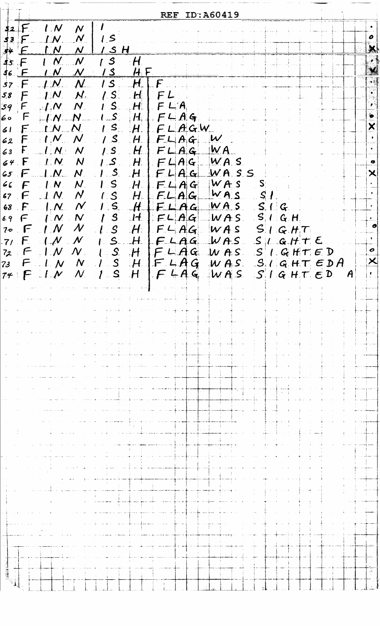|                                                                                                                                                                                              |                               | <b>REF ID: A60419</b>  |                                                    |                              |                                        |
|----------------------------------------------------------------------------------------------------------------------------------------------------------------------------------------------|-------------------------------|------------------------|----------------------------------------------------|------------------------------|----------------------------------------|
| l N<br>$\overline{\mathcal{N}}$<br>52<br>$\boldsymbol{\mathcal{N}}$ .<br>$\mathcal{L}$<br>$\bm{1} \bm{N}$ .<br>53<br>F                                                                       |                               |                        |                                                    |                              | 0                                      |
| $\boldsymbol{N}$<br><u> 1 S H</u><br>LN<br>\$4<br>F                                                                                                                                          |                               |                        |                                                    |                              | $\mathbf{X}$                           |
| $\mathcal{S}_{\mathcal{S}}$<br>$\mathcal{N}_1$<br>$\boldsymbol{\mathcal{N}}$ .<br>$\cdot$ H,<br>45. F<br>19<br>$H$ F $\,$<br>$\sqrt{N}$<br>$\boldsymbol{\mathcal{N}}$<br>36 F                |                               |                        |                                                    |                              |                                        |
| <b>IS</b><br>$\mathbf{H}^+$<br>$+ N$<br>$\mathcal{N}$<br>57<br>$\cdot$ F<br>LM<br>$1.5^\circ$<br>5,8<br>$M_{\odot}$<br>$H_{\perp}$<br>$\cdot$ F                                              | $\mathsf{F}$ .<br>FL          |                        |                                                    |                              |                                        |
| $\mathcal{S}_1$<br>$H_{\scriptscriptstyle\rm I}$<br>$\mathbb{P}L[\boldsymbol{N}]$ .<br>$\bm{N}_-$<br>59<br>$\mathsf{F}$                                                                      | $F\sqcup A$                   |                        |                                                    |                              | ₽                                      |
| $l\in$ S $\Box$<br> H <br>F<br>$\mathcal{L} \mathcal{N}$ and $\mathcal{N}$ and $\mathcal{N}$<br>60<br><u>  S.,</u><br>$LN$ $N$<br>$H_{\rm{t}}$<br>61<br>E                                    | FLAG<br>$\sim$<br>FLAGW       |                        |                                                    |                              | $\bm{\times}$                          |
| $+$ ( $N_{\rm max}$ $N_{\rm max}$<br>$1.5^\circ$<br>$H \downharpoonright$<br>62 F<br>$H$ .<br>$\Box L N$<br>$\mathsf{F}_1$<br>l.S.<br>$\bm{\mathcal{N}}$ .                                   | FLAG<br>FLAG                  | $ \mathcal{W} $<br>WA  |                                                    |                              |                                        |
| 63<br>ِ کی ا<br>$\pm L_{\rm c}$ $N_{\rm c}$<br>$\mathcal{H}_-$<br>64. F<br>N                                                                                                                 | FLAG                          | $WA$ S                 |                                                    |                              | $\bullet$                              |
| $\mathcal{S}_\mathbb{R}$<br>$\perp N$<br>$H_{\rm \scriptscriptstyle L}$<br>$\bm{N}_z$<br>$65$ F<br>$\mathsf{S}$ .<br>$\mathcal{A}(\mathcal{N})$<br>$\mathcal{N}_1$<br>66<br>$H_{\rm e}$<br>F | FLAG<br>FLA                   | WASS<br>W A S          | S                                                  |                              | $\bm{\times}$                          |
| $\Box$ N<br>$\bm{N}_\parallel$<br><u>:S.</u><br>$H_{\rm{eff}}$<br>F<br>67<br>S <sub>1</sub><br>$\mathsf{L}\mathsf{N}$<br>68<br>$\cdot$ F<br>$N_{\rm c}$                                      | FLAG<br>$H \perp F \perp A G$ | WAS<br>WA <sub>5</sub> | $S$ $\overline{I}$ :<br>$S_{\cdot} \cap G_{\cdot}$ |                              |                                        |
| $\mathcal{S}_{\cdot}$<br>$1/N$ , $N$ .<br>$\mathsf{F}$<br>69                                                                                                                                 | $H$ $E L A G$ $W A S$         |                        | $S/I$ $G$ $H$                                      |                              |                                        |
| $\mathcal{N}$<br>$\boldsymbol{\mathcal{N}}$<br>$\mathcal{S}$<br>$H_{\perp}$<br>70. F<br>S.,<br>$\mathcal{N}$<br>$\mathcal{N}$<br>F.<br>H<br>7/7                                              | FLAG<br>FLAG                  | WAS<br>WAS             | $S \mid G$ $H$ <sup>T</sup><br>$S/L$ GHT E         |                              |                                        |
| $\mathcal{S}_{\cdot}$<br>H<br>72<br>$\epsilon$<br>$N_{\odot}$<br>$\mathcal{N}$                                                                                                               | FLAG                          | $W$ A.S.               |                                                    | $S \cup G$ $H \cup \{F, D\}$ | $\boldsymbol{\sigma}$<br>$\bm{\times}$ |
| $S_{\cdot}$<br>$H_{\rm{c}}$<br>N<br>73<br>$\boldsymbol{\mathcal{N}}$<br>$S_{\cdot}$<br>H<br>$\mathcal{M}$<br>$\mathcal{N}_{\cdot}$<br>$74$ F                                                 | F <sub>4</sub> AG<br>FLAG     | WAS<br>WAS             | $S/GHT \in D$                                      | $S \cup G$ HT $EDA$          | $\boldsymbol{\mathsf{A}}$              |
|                                                                                                                                                                                              |                               |                        |                                                    |                              |                                        |
|                                                                                                                                                                                              |                               |                        |                                                    |                              |                                        |
|                                                                                                                                                                                              |                               |                        |                                                    |                              |                                        |
|                                                                                                                                                                                              |                               |                        |                                                    |                              |                                        |
|                                                                                                                                                                                              |                               |                        |                                                    |                              |                                        |
|                                                                                                                                                                                              |                               |                        |                                                    |                              |                                        |
|                                                                                                                                                                                              |                               |                        |                                                    |                              |                                        |
|                                                                                                                                                                                              |                               |                        |                                                    |                              |                                        |
|                                                                                                                                                                                              |                               |                        |                                                    |                              |                                        |
|                                                                                                                                                                                              |                               |                        |                                                    |                              |                                        |
|                                                                                                                                                                                              |                               |                        |                                                    |                              |                                        |
|                                                                                                                                                                                              |                               |                        |                                                    |                              |                                        |
|                                                                                                                                                                                              |                               |                        |                                                    |                              |                                        |
|                                                                                                                                                                                              |                               |                        |                                                    |                              |                                        |
|                                                                                                                                                                                              |                               |                        |                                                    |                              |                                        |
|                                                                                                                                                                                              |                               |                        |                                                    |                              | э¥                                     |
|                                                                                                                                                                                              |                               |                        |                                                    |                              |                                        |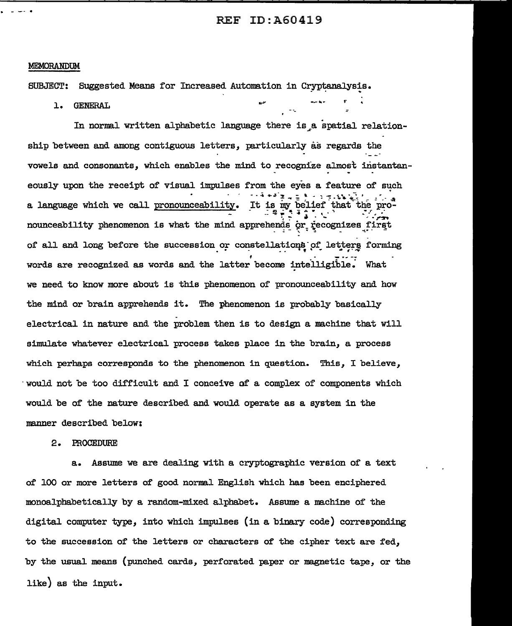ę.

#### MEMORANDUM

**SUBJECT:** Suggested Means for Increased Automation in Cryptanalysis.

**GENERAL** ı.

In normal written alphabetic language there is a spatial relationship between and among contiguous letters, particularly as regards the vowels and consonants, which enables the mind to recognize almost instantaneously upon the receipt of visual impulses from the eyes a feature of such a language which we call pronounceability. It is my belief that the pronounceability phenomenon is what the mind apprehends or recognizes first of all and long before the succession or constellations of letters forming words are recognized as words and the latter become intelligible. What we need to know more about is this phenomenon of pronounceability and how the mind or brain apprehends it. The phenomenon is probably basically electrical in nature and the problem then is to design a machine that will simulate whatever electrical process takes place in the brain, a process which perhaps corresponds to the phenomenon in question. This, I believe, would not be too difficult and I conceive of a complex of components which would be of the nature described and would operate as a system in the manner described below:

### 2. PROCEDURE

Assume we are dealing with a cryptographic version of a text  $a.$ of 100 or more letters of good normal English which has been enciphered monoalphabetically by a random-mixed alphabet. Assume a machine of the digital computer type, into which impulses (in a binary code) corresponding to the succession of the letters or characters of the cipher text are fed, by the usual means (punched cards, perforated paper or magnetic tape, or the like) as the input.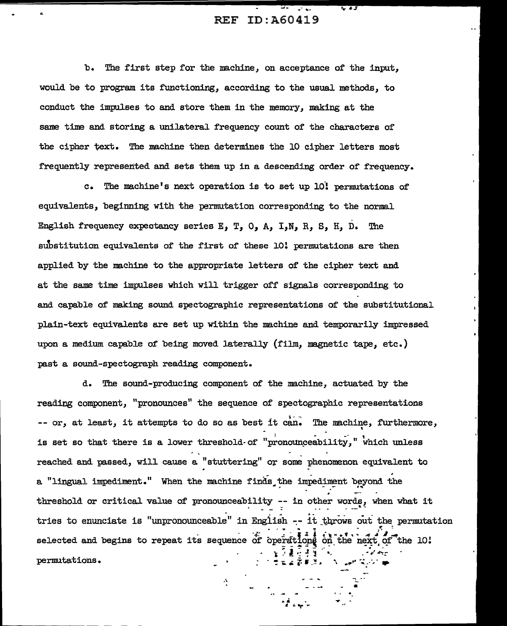$\frac{1}{2}$   $\frac{1}{2}$   $\frac{1}{2}$   $\frac{1}{2}$   $\frac{1}{2}$   $\frac{1}{2}$   $\frac{1}{2}$   $\frac{1}{2}$   $\frac{1}{2}$   $\frac{1}{2}$   $\frac{1}{2}$   $\frac{1}{2}$   $\frac{1}{2}$   $\frac{1}{2}$   $\frac{1}{2}$   $\frac{1}{2}$   $\frac{1}{2}$   $\frac{1}{2}$   $\frac{1}{2}$   $\frac{1}{2}$   $\frac{1}{2}$   $\frac{1}{2}$ 

b. The first step for the machine, on acceptance of the input, would be to program its functioning, according to the usual methods, to conduct the impulses to and store them in the memory, making at the same time and storing a unilateral frequency count of the characters of the cipher text. The machine then determines the 10 cipher letters most frequently represented and sets them up in a descending order of frequency.

c.

c. The ma.chine's next operation is to set up lo'! permutations of equivalents, beginning with the permutation corresponding to the normal English frequency expectancy series E, T, O, A, I,N, R, S, H, D. The substitution equivalents of the first of these 10! permutations are then applied by the machine to the appropriate letters of the cipher text and at the same time impulses which will trigger off signals corresponding to and capable of making sound spectographic representations of the substitutional plain-text equivalents are set up within the machine and temporarily impressed upon a mediwn capable of being moved laterally (film, magnetic tape, etc.) past a sound-spectograph reading component.

d. The sound-producing component of the machine, actuated by the reading component, "pronounces" the sequence of spectographic representations -- or, at least, it attempts to do so as best it can. The machine, furthermore, is set so that there is a lower threshold-of "pronounceability," which unless reached and passed, will cause a "stuttering" or some phenomenon equivalent to a "lingual impediment." When the machine finds the impediment beyond the threshold or critical value of pronounceability  $-$ - in other words, when what it tries to enunciate is "unpronounceable" in English  $-$ - it throws out the permutation selected and begins to repeat its sequence of operations<br>permutations.  $\begin{array}{ccc}\n\cdot & \cdot & \cdot & \cdot & \cdot \\
\cdot & \cdot & \cdot & \cdot & \cdot & \cdot \\
\cdot & \cdot & \cdot & \cdot & \cdot & \cdot \\
\cdot & \cdot & \cdot & \cdot & \cdot & \cdot\n\end{array}$ 

 $\hat{\mathcal{L}}$ 

 $\frac{1}{2}$ . •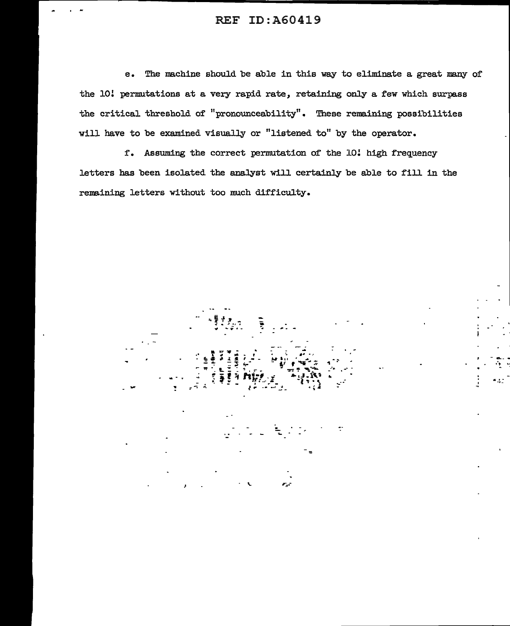The machine should be able in this way to eliminate a great many of  $e_{\bullet}$ the 10! permutations at a very rapid rate, retaining only a few which surpass the critical threshold of "pronounceability". These remaining possibilities will have to be examined visually or "listened to" by the operator.

f. Assuming the correct permutation of the 10! high frequency letters has been isolated the analyst will certainly be able to fill in the remaining letters without too much difficulty.

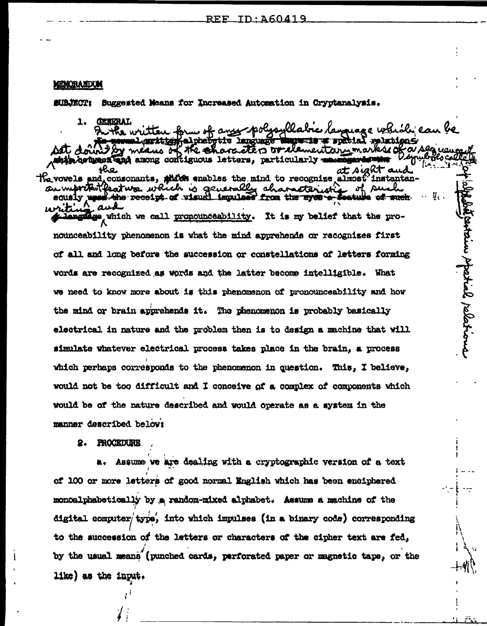### MEMORANDUM

SUBJECT: Suggested Means for Increased Automation in Cryptanalysis.

1. **CENERAL** form of any police llatre *lavouage* which kaluhatn . pe brbien ⊂ a segueva the characters or elementary marks of meaus b hip hetmesi end among contiguous letters, particularly emme at sight a rlo. the vowels and consonants, which enables the mind to recognize almost instantan-<br>an impretant feature which is generally characteristic of such. sously upon the receipt of visual impulses from the syce & Ų., sueh. anguage which we call propounceability. It is my belief that the propuricing spatial palations nounceability phenomenon is what the mind apprehends or recognizes first of all and long before the succession or constellations of letters forming words are recognized as words and the latter become intelligible. What we need to know more about is this phenomenon of pronounceability and how the mind or brain apprehends it. The phenomenon is probably basically electrical in nature and the problem then is to design a machine that will simulate whatever electrical process takes place in the brain, a process which perhaps corresponds to the phenomenon in question. This, I believe, would not be too difficult and I conceive of a complex of components which would be of the nature described and would operate as a system in the manner described below:

2. PROCEDURE

Assume we are dealing with a cryptographic version of a text æ. of 100 or more letters of good normal English which has been enciphered monoalphabetically by a random-mixed alphabet. Assume a machine of the digital computer type, into which impulses (in a binary code) corresponding to the succession of the letters or characters of the cipher text are fed, by the usual means (punched cards, perforated paper or magnetic tape, or the like) as the input.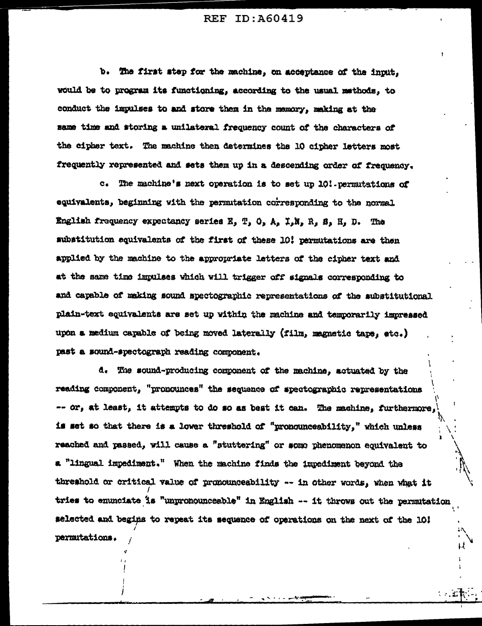b. The first step for the machine, on acceptance of the input, would be to program its functioning, according to the usual methods, to conduct the impulses to and store them in the memory, making at the same time and storing a unilateral frequency count of the characters of the cipher text. The machine then determines the 10 cipher letters most frequently represented and sets them up in a descending order of frequency.

c. The machine's next operation is to set up 10! - permutations of equivalents, beginning with the permutation corresponding to the normal English frequency expectancy series E, T, O, A, I,N, R, S, H, D. The substitution equivalents of the first of these 10! permutations are then applied by the machine to the appropriate letters of the cipher text and at the same time impulses which will trigger off signals corresponding to and capable of making sound spectographic representations of the substitutional plain-text equivalents are set up within the machine and temporarily impressed upon a medium capable of being moved laterally (film, magnetic tape, etc.) past a sound-spectograph reading component.

d. The sound-producing component of the machine, actuated by the reading component, "pronounces" the sequence of spectographic representations -- or, at least, it attempts to do so as beat it can. The machine, furthermore, is set so that there is a lower threshold of "pronounceability," which unless reached and passed, will cause a "stuttering" or some phenomenon equivalent to a "lingual impediment." When the machine finds the impediment beyond the threshold or critical value of pronounceability -- in other words, when what it tries to enunciate is "unpronounceable" in English -- it throws out the permutation selected and begins to repeat its sequence of operations on the next of the 10! permutations.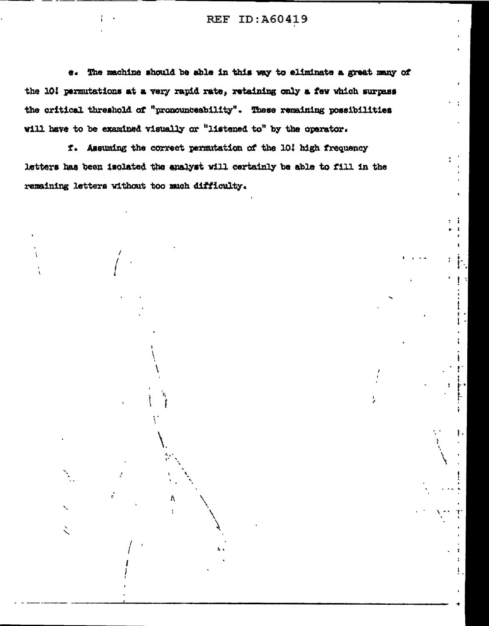ī

Ŧ

e. The machine should be able in this way to eliminate a great many of the 10! permutations at a very rapid rate, retaining only a few which surpass the critical threshold of "pronounceability". These remaining possibilities will have to be examined visually or "listened to" by the operator.

f. Assuming the correct permutation of the 10! high frequency letters has been isolated the analyst will certainly be able to fill in the remaining letters without too much difficulty.

٨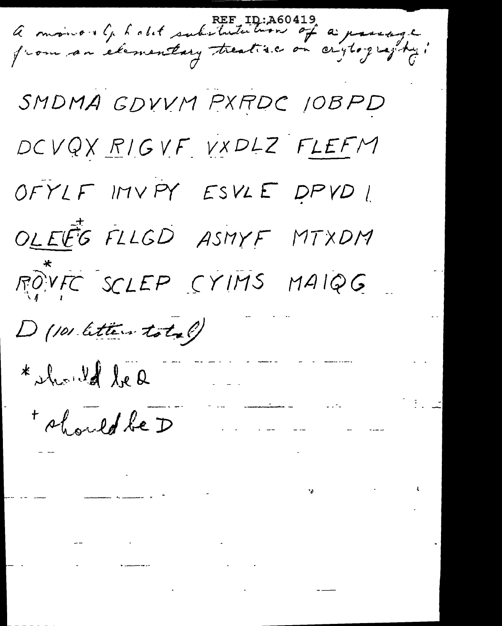A moins or G hobit substatutement of a passage SMDMA GDVVM PXRDC IOBPD DCVQX RIGVF VXDLZ FLEFM OFYLF IMVPY ESVLE DPVD ! OLEVÉS FLLGD ASMYF MTXDM ROVFC SCLEP CYIMS MAIQG D (101 letters total)  $\star \mathcal{A}_{\mathcal{A}^{\mathcal{A}}} \mathcal{A}_{\mathcal{A}^{\mathcal{B}}} \mathcal{A}_{\mathcal{A}}$  $\label{eq:2.1} \frac{1}{\sqrt{2}}\sum_{i=1}^n\frac{1}{\sqrt{2}}\sum_{i=1}^n\frac{1}{\sqrt{2}}\sum_{i=1}^n\frac{1}{\sqrt{2}}\sum_{i=1}^n\frac{1}{\sqrt{2}}\sum_{i=1}^n\frac{1}{\sqrt{2}}\sum_{i=1}^n\frac{1}{\sqrt{2}}\sum_{i=1}^n\frac{1}{\sqrt{2}}\sum_{i=1}^n\frac{1}{\sqrt{2}}\sum_{i=1}^n\frac{1}{\sqrt{2}}\sum_{i=1}^n\frac{1}{\sqrt{2}}\sum_{i=1}^n\frac$ \* should be D المسامين المنادي 

 $\label{eq:2.1} \frac{d\mathbf{r}}{d\mathbf{r}} = \frac{1}{2} \left( \frac{d\mathbf{r}}{d\mathbf{r}} + \frac{d\mathbf{r}}{d\mathbf{r}} \right) + \frac{d\mathbf{r}}{d\mathbf{r}} \left( \frac{d\mathbf{r}}{d\mathbf{r}} + \frac{d\mathbf{r}}{d\mathbf{r}} \right) + \frac{d\mathbf{r}}{d\mathbf{r}} \left( \frac{d\mathbf{r}}{d\mathbf{r}} + \frac{d\mathbf{r}}{d\mathbf{r}} \right) + \frac{d\mathbf{r}}{d\mathbf{r$ 

 $\label{eq:2.1} \frac{1}{\sqrt{2\pi}}\int_{\mathbb{R}^3}\frac{1}{\sqrt{2\pi}}\frac{1}{\sqrt{2\pi}}\frac{1}{\sqrt{2\pi}}\frac{1}{\sqrt{2\pi}}\int_{\mathbb{R}^3}\frac{1}{\sqrt{2\pi}}\frac{1}{\sqrt{2\pi}}\frac{1}{\sqrt{2\pi}}\frac{1}{\sqrt{2\pi}}\frac{1}{\sqrt{2\pi}}\frac{1}{\sqrt{2\pi}}\frac{1}{\sqrt{2\pi}}\frac{1}{\sqrt{2\pi}}\frac{1}{\sqrt{2\pi}}\frac{1}{\sqrt{2\pi}}\frac{1}{\sqrt{2$ 

 $\mathcal{L}^{\mathcal{L}}(\mathcal{L}^{\mathcal{L}}(\mathcal{L}^{\mathcal{L}}(\mathcal{L}^{\mathcal{L}}(\mathcal{L}^{\mathcal{L}}(\mathcal{L}^{\mathcal{L}}(\mathcal{L}^{\mathcal{L}}(\mathcal{L}^{\mathcal{L}}(\mathcal{L}^{\mathcal{L}}(\mathcal{L}^{\mathcal{L}}(\mathcal{L}^{\mathcal{L}}(\mathcal{L}^{\mathcal{L}}(\mathcal{L}^{\mathcal{L}}(\mathcal{L}^{\mathcal{L}}(\mathcal{L}^{\mathcal{L}}(\mathcal{L}^{\mathcal{L}}(\mathcal{L}^{\mathcal{L$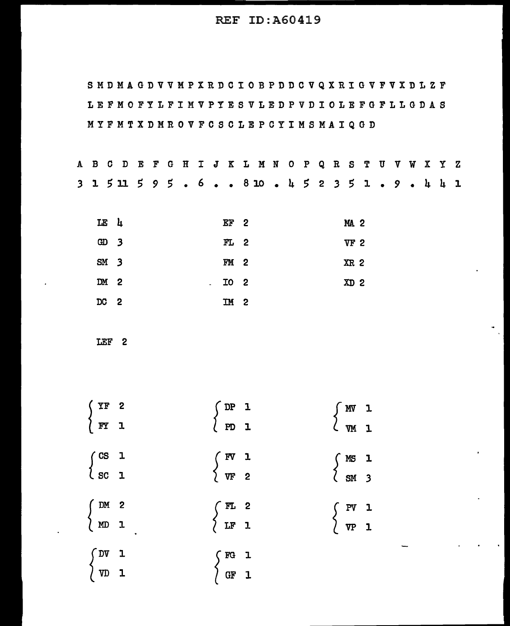SMDMAGDVVMPXRDCIOBPDDCVQXRIGVFVXDLZF LEFMOFYLFIMVPYESVLEDPVDIOLEFGFLLGDAS MYFMTXDMROVFCSCLEPCYIMSMAIQGD A B *0* D E F G H I J K L M N 0 P Q R S T U V *W* X Y Z *3* 1 ~ 11 ~ *9* 5 • 6 • • 8 10 • 4 5 2 *3* 5 1 • *9* • 4 4 1 LE 4 GD *3*  SM *3*  DM 2 DC 2 LEF 2 **TF** 2<br>FY 1  $\mathbf 1$  $\begin{cases} \text{cs} & 1 \\ \text{sc} & 1 \end{cases}$  $\left\{\begin{array}{cl} DM & 2 \\ M D & 1 \end{array}\right.$ EF 2 FL 2 FM 2 IO 2 IM 2 DP 1 PD 1  $\left\{ \begin{array}{ll} FV & 1 \\ VF & 2 \end{array} \right.$  $\left\{ \begin{array}{ll} \texttt{FL} & \texttt{2} \ \texttt{LF} & \texttt{1} \end{array} \right.$ l MA 2 VF 2 XR 2 XD 2  $\begin{cases} \frac{MN}{2} & \text{if } N \leq 1. \end{cases}$  $\begin{cases} M.S \\ SM \end{cases}$  $\left\{ \begin{array}{ccc} PV & 1 \\ & & \\ \hline VP & 1 \end{array} \right.$  $1<sup>1</sup>$ l *3*   $PV<sub>1</sub>$ 

 $\left\{ \begin{array}{ll} \texttt{DV} & \texttt{1} \ \texttt{VD} & \texttt{1} \end{array} \right.$  $\mathbf 1$  $\left\{ \begin{array}{cl} \texttt{FG} & \texttt{1} \ \texttt{GF} & \texttt{1} \end{array} \right.$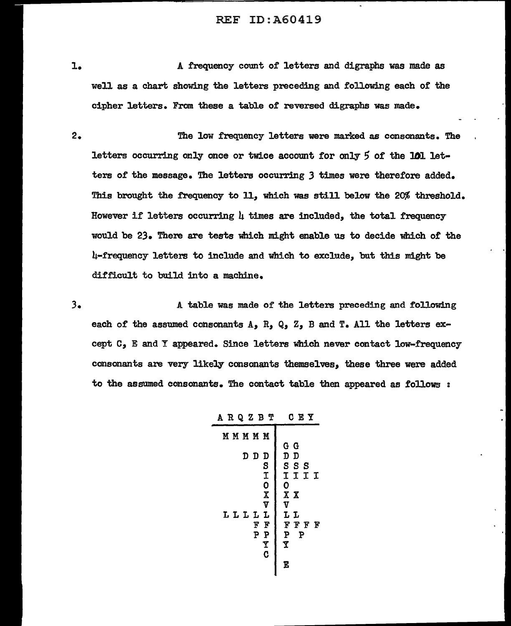A frequency count of letters and digraphs was made as well as a chart showing the letters preceding and following each of the cipher letters. From these a table of reversed digraphs was made.

l.

3.

2. The low frequency letters were marked as consonants. The letters occurring only once or twice account for only  $5$  of the  $101$  letters of the message. The letters occurring 3 times were therefore added. This brought the frequency to 11, which was still below the 20% threshold. However if letters occurring  $l_i$  times are included, the total frequency would be 23. There are tests which might enable us to decide which of the 4-frequency letters to include and which to exclude, but this might be difficult to build into a machine.

A table was made of the letters preceding and following each of the assumed consonants  $A_2$ ,  $R_3$ ,  $Q_2$ ,  $Z_3$ ,  $B$  and  $T_4$ . All the letters except c, E and Y appeared. Since letters which never contact low-frequency consonants are very likely consonants themselves, these three were added to the assumed consonants. The contact table then appeared as follows :

| ARQZBT                                                                                                                     | CEY                                                                               |
|----------------------------------------------------------------------------------------------------------------------------|-----------------------------------------------------------------------------------|
| MMMMM                                                                                                                      | G G                                                                               |
| DD<br>D<br><b>SHOX</b><br>$\overline{\mathbf{v}}$<br>LLLLL<br>F<br>F<br>$\overline{\mathbf{P}}$<br>P<br>$\frac{1}{\alpha}$ | D<br>D<br>SSS<br>IIII<br>O<br>X X<br>V<br>LL<br>F<br>F F<br>F<br>P<br>P<br>Ŷ<br>E |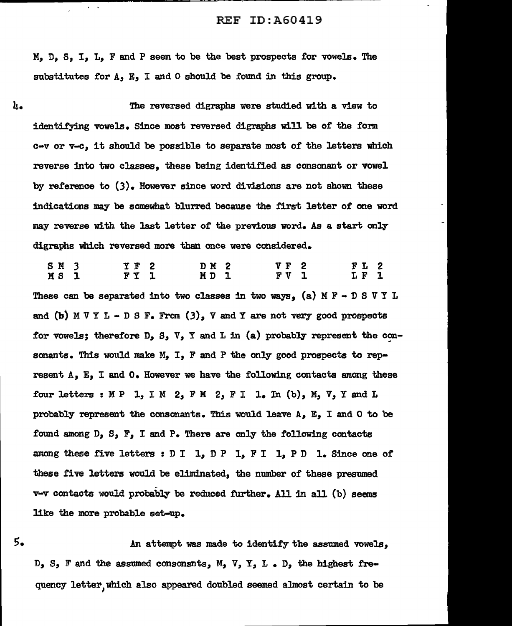M, D, s, I, L, F and P seem to be the best prospects tor vowels. The substitutes for A, E, I and O should be found in this group.

4.

s.

The reversed digraphs were studied with a view to identifying vowels. Since most reversed digraphs will be of the form c-v or v-c, it should be possible to separate most of the letters which reverse into two classes, these being identified as consonant or vowel by reference to  $(3)$ . However since word divisions are not shown these indications may be somewhat blurred because the first letter of' one word may reverse with the last letter of the previous word. As a start only digraphs which reversed more than once were considered.

S M 3<br>M S 1 M<sub>S</sub> Y F 2 FY l D M 2 MD l VF 2 F V l FL 2 L F l These can be separated into two classes in two ways, (a) M F - D S V Y L and (b)  $M V Y L - D S F$ . From (3),  $V$  and  $Y$  are not very good prospects for vowels; therefore D, S, V, Y and L in (a) probably represent the consonants. This would make M, I, F and P the only good prospects to represent A, E, I and o. However we have the following contacts among these four letters : M P 1, I M 2, F M 2, F I 1. In (b), M, V, Y and L probably represent the consonants. This would leave A, E, I and 0 to be found among D, s, F, I and P. There are only the following contacts among these five letters :  $D I 1$ ,  $D P 1$ ,  $F I 1$ ,  $P D 1$ . Since one of these five letters would be eliminated, the number of these presumed v-v contacts would probably be reduced further. All in all (b} seems like the more probable set-up.

An attempt was made to identify the assumed vowels, D, S, F and the assumed consonants, M, V, Y, L. D, the highest frequency letter, which also appeared doubled seemed almost certain to be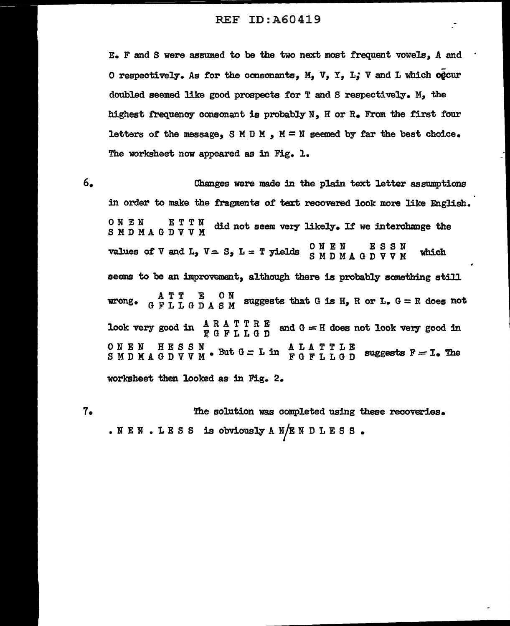E. F and S were assumed to be the two next most frequent vowels, A and 0 respectively. As for the consonants, M, V, Y, L; V and L which ogcur doubled seemed like good prospects ror T and S respectively. M, the highest frequency consonant is probably  $N$ ,  $H$  or  $R$ . From the first four letters of the message, SMDM,  $M = N$  seemed by far the best choice. The worksheet now appeared as in Fig. 1.

 $\mathbf{r}$ 

 $6.$ Changes were made in the plain text letter assumptions in order to make the fragments of text recovered look more like English. ONEN ETTN did not seem very likely. If we interchange the SMD MAGD V V M values of  $\nabla$  and  $L_5$   $\nabla = S_5$   $L = T$  yields  $\begin{array}{cc} 0 \text{ N} \text{ E N} & \text{ E S S N} \\ \text{ S N D M A G D V V N} & \text{ which} \end{array}$ seems to be an improvement, although there is probably something still ATT E ON suggests that G is H, R or L. G = R does not G F L L G D A S M wrong. look very good in  $^{A \ R \ A \ T \ T \ R \ E}$  and  $G = H$  does not look very good in ONEN HESSN • But G = L in A L A T T L E suggests F = I • The worksheet then looked as in Fig. 2.

 $7.$ The solution was completed using these recoveries. . N E N . L E S S is obviously A  $N/E$  N D L E S S .